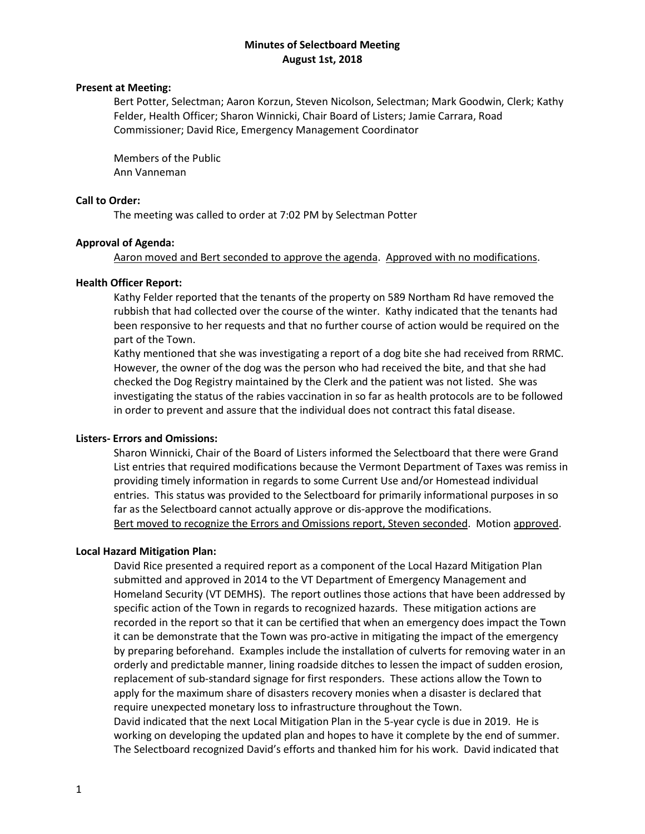### **Minutes of Selectboard Meeting August 1st, 2018**

## **Present at Meeting:**

Bert Potter, Selectman; Aaron Korzun, Steven Nicolson, Selectman; Mark Goodwin, Clerk; Kathy Felder, Health Officer; Sharon Winnicki, Chair Board of Listers; Jamie Carrara, Road Commissioner; David Rice, Emergency Management Coordinator

Members of the Public Ann Vanneman

### **Call to Order:**

The meeting was called to order at 7:02 PM by Selectman Potter

### **Approval of Agenda:**

Aaron moved and Bert seconded to approve the agenda. Approved with no modifications.

### **Health Officer Report:**

Kathy Felder reported that the tenants of the property on 589 Northam Rd have removed the rubbish that had collected over the course of the winter. Kathy indicated that the tenants had been responsive to her requests and that no further course of action would be required on the part of the Town.

Kathy mentioned that she was investigating a report of a dog bite she had received from RRMC. However, the owner of the dog was the person who had received the bite, and that she had checked the Dog Registry maintained by the Clerk and the patient was not listed. She was investigating the status of the rabies vaccination in so far as health protocols are to be followed in order to prevent and assure that the individual does not contract this fatal disease.

### **Listers- Errors and Omissions:**

Sharon Winnicki, Chair of the Board of Listers informed the Selectboard that there were Grand List entries that required modifications because the Vermont Department of Taxes was remiss in providing timely information in regards to some Current Use and/or Homestead individual entries. This status was provided to the Selectboard for primarily informational purposes in so far as the Selectboard cannot actually approve or dis-approve the modifications. Bert moved to recognize the Errors and Omissions report, Steven seconded. Motion approved.

#### **Local Hazard Mitigation Plan:**

David Rice presented a required report as a component of the Local Hazard Mitigation Plan submitted and approved in 2014 to the VT Department of Emergency Management and Homeland Security (VT DEMHS). The report outlines those actions that have been addressed by specific action of the Town in regards to recognized hazards. These mitigation actions are recorded in the report so that it can be certified that when an emergency does impact the Town it can be demonstrate that the Town was pro-active in mitigating the impact of the emergency by preparing beforehand. Examples include the installation of culverts for removing water in an orderly and predictable manner, lining roadside ditches to lessen the impact of sudden erosion, replacement of sub-standard signage for first responders. These actions allow the Town to apply for the maximum share of disasters recovery monies when a disaster is declared that require unexpected monetary loss to infrastructure throughout the Town. David indicated that the next Local Mitigation Plan in the 5-year cycle is due in 2019. He is working on developing the updated plan and hopes to have it complete by the end of summer. The Selectboard recognized David's efforts and thanked him for his work. David indicated that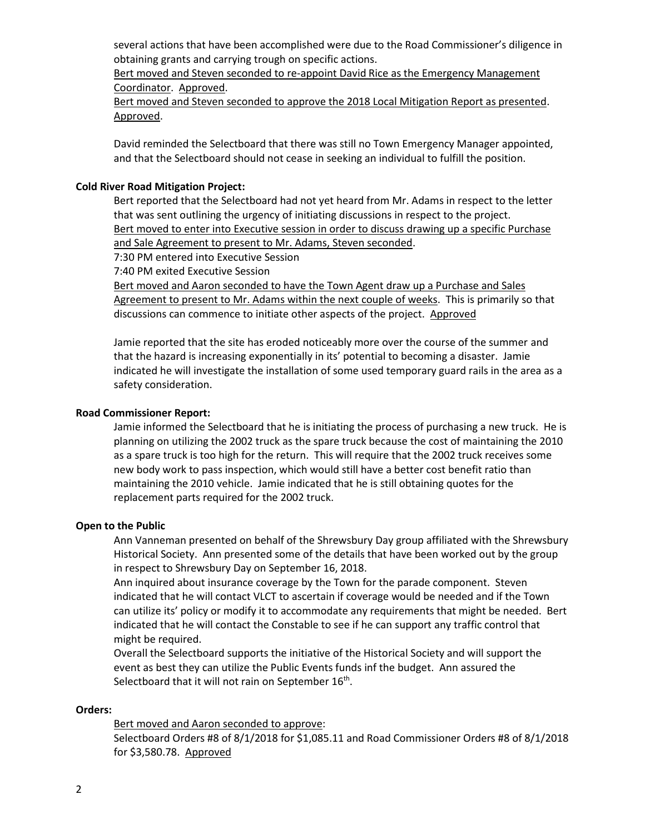several actions that have been accomplished were due to the Road Commissioner's diligence in obtaining grants and carrying trough on specific actions.

Bert moved and Steven seconded to re-appoint David Rice as the Emergency Management Coordinator. Approved.

Bert moved and Steven seconded to approve the 2018 Local Mitigation Report as presented. Approved.

David reminded the Selectboard that there was still no Town Emergency Manager appointed, and that the Selectboard should not cease in seeking an individual to fulfill the position.

### **Cold River Road Mitigation Project:**

Bert reported that the Selectboard had not yet heard from Mr. Adams in respect to the letter that was sent outlining the urgency of initiating discussions in respect to the project. Bert moved to enter into Executive session in order to discuss drawing up a specific Purchase and Sale Agreement to present to Mr. Adams, Steven seconded.

7:30 PM entered into Executive Session

7:40 PM exited Executive Session

Bert moved and Aaron seconded to have the Town Agent draw up a Purchase and Sales Agreement to present to Mr. Adams within the next couple of weeks. This is primarily so that discussions can commence to initiate other aspects of the project. Approved

Jamie reported that the site has eroded noticeably more over the course of the summer and that the hazard is increasing exponentially in its' potential to becoming a disaster. Jamie indicated he will investigate the installation of some used temporary guard rails in the area as a safety consideration.

### **Road Commissioner Report:**

Jamie informed the Selectboard that he is initiating the process of purchasing a new truck. He is planning on utilizing the 2002 truck as the spare truck because the cost of maintaining the 2010 as a spare truck is too high for the return. This will require that the 2002 truck receives some new body work to pass inspection, which would still have a better cost benefit ratio than maintaining the 2010 vehicle. Jamie indicated that he is still obtaining quotes for the replacement parts required for the 2002 truck.

#### **Open to the Public**

Ann Vanneman presented on behalf of the Shrewsbury Day group affiliated with the Shrewsbury Historical Society. Ann presented some of the details that have been worked out by the group in respect to Shrewsbury Day on September 16, 2018.

Ann inquired about insurance coverage by the Town for the parade component. Steven indicated that he will contact VLCT to ascertain if coverage would be needed and if the Town can utilize its' policy or modify it to accommodate any requirements that might be needed. Bert indicated that he will contact the Constable to see if he can support any traffic control that might be required.

Overall the Selectboard supports the initiative of the Historical Society and will support the event as best they can utilize the Public Events funds inf the budget. Ann assured the Selectboard that it will not rain on September 16<sup>th</sup>.

#### **Orders:**

Bert moved and Aaron seconded to approve: Selectboard Orders #8 of 8/1/2018 for \$1,085.11 and Road Commissioner Orders #8 of 8/1/2018 for \$3,580.78. Approved